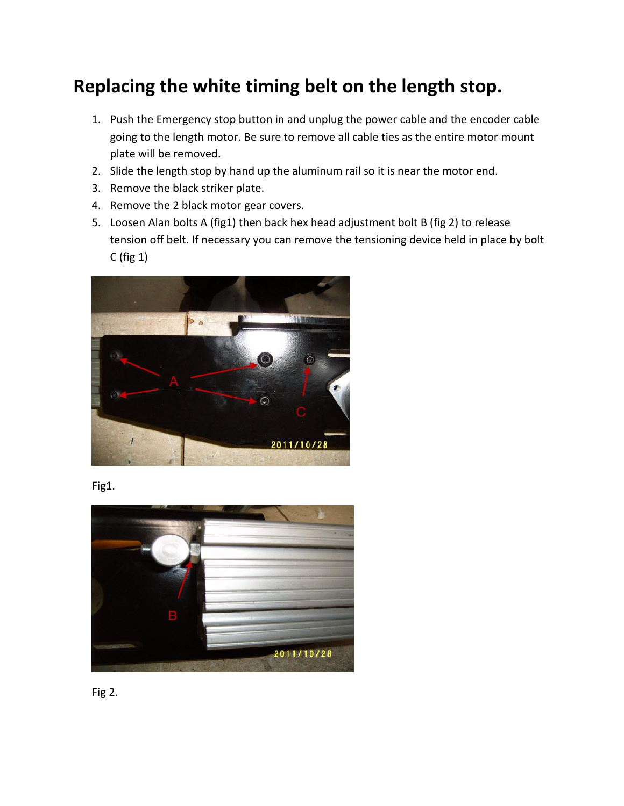## **Replacing the white timing belt on the length stop.**

- 1. Push the Emergency stop button in and unplug the power cable and the encoder cable going to the length motor. Be sure to remove all cable ties as the entire motor mount plate will be removed.
- 2. Slide the length stop by hand up the aluminum rail so it is near the motor end.
- 3. Remove the black striker plate.
- 4. Remove the 2 black motor gear covers.
- 5. Loosen Alan bolts A (fig1) then back hex head adjustment bolt B (fig 2) to release tension off belt. If necessary you can remove the tensioning device held in place by bolt C (fig 1)



Fig1.



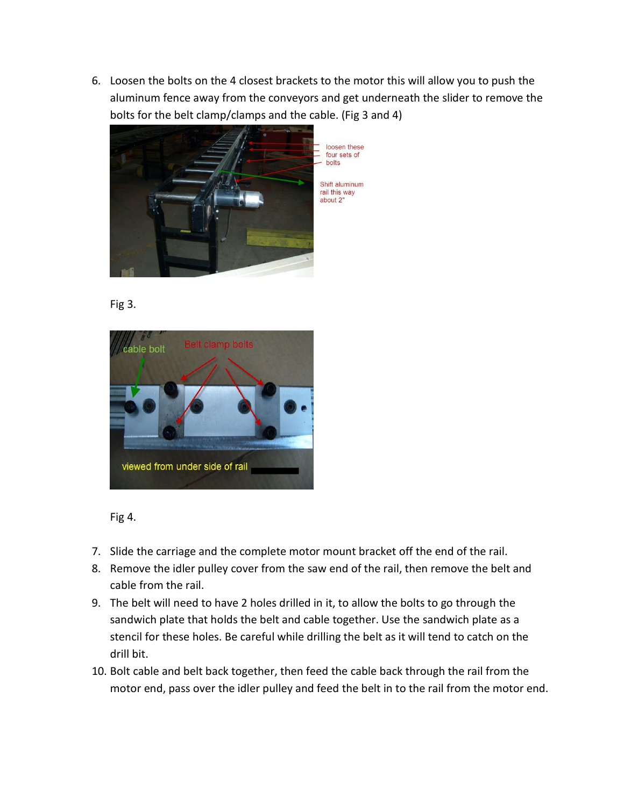6. Loosen the bolts on the 4 closest brackets to the motor this will allow you to push the aluminum fence away from the conveyors and get underneath the slider to remove the bolts for the belt clamp/clamps and the cable. (Fig 3 and 4)



Fig 3.



Fig 4.

- 7. Slide the carriage and the complete motor mount bracket off the end of the rail.
- 8. Remove the idler pulley cover from the saw end of the rail, then remove the belt and cable from the rail.
- 9. The belt will need to have 2 holes drilled in it, to allow the bolts to go through the sandwich plate that holds the belt and cable together. Use the sandwich plate as a stencil for these holes. Be careful while drilling the belt as it will tend to catch on the drill bit.
- 10. Bolt cable and belt back together, then feed the cable back through the rail from the motor end, pass over the idler pulley and feed the belt in to the rail from the motor end.